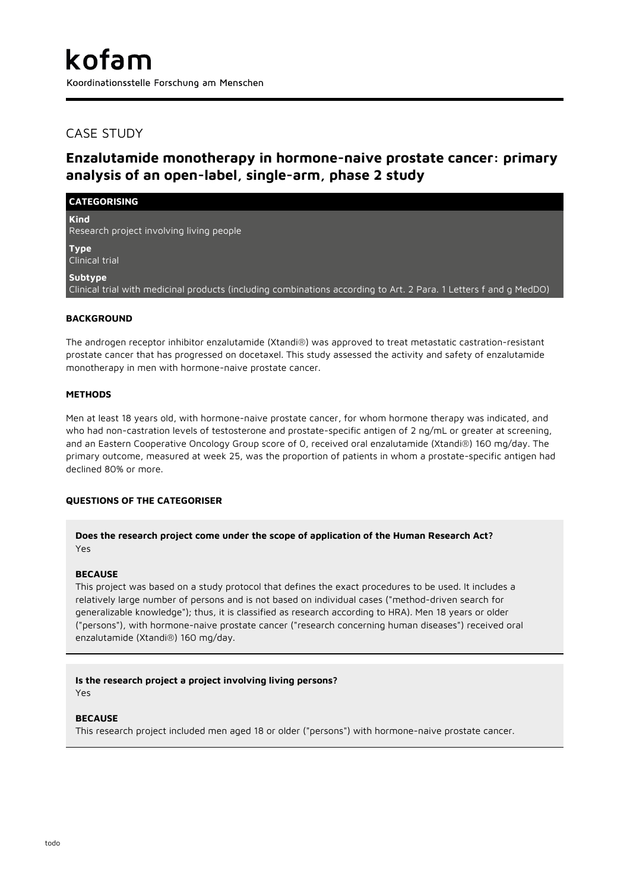## CASE STUDY

# **Enzalutamide monotherapy in hormone-naive prostate cancer: primary analysis of an open-label, single-arm, phase 2 study**

## **CATEGORISING**

**Kind** Research project involving living people

**Type** Clinical trial

**Subtype**

Clinical trial with medicinal products (including combinations according to Art. 2 Para. 1 Letters f and g MedDO)

## **BACKGROUND**

The androgen receptor inhibitor enzalutamide (Xtandi®) was approved to treat metastatic castration-resistant prostate cancer that has progressed on docetaxel. This study assessed the activity and safety of enzalutamide monotherapy in men with hormone-naive prostate cancer.

## **METHODS**

Men at least 18 years old, with hormone-naive prostate cancer, for whom hormone therapy was indicated, and who had non-castration levels of testosterone and prostate-specific antigen of 2 ng/mL or greater at screening, and an Eastern Cooperative Oncology Group score of 0, received oral enzalutamide (Xtandi®) 160 mg/day. The primary outcome, measured at week 25, was the proportion of patients in whom a prostate-specific antigen had declined 80% or more.

## **QUESTIONS OF THE CATEGORISER**

**Does the research project come under the scope of application of the Human Research Act?** Yes

## **BECAUSE**

This project was based on a study protocol that defines the exact procedures to be used. It includes a relatively large number of persons and is not based on individual cases ("method-driven search for generalizable knowledge"); thus, it is classified as research according to HRA). Men 18 years or older ("persons"), with hormone-naive prostate cancer ("research concerning human diseases") received oral enzalutamide (Xtandi®) 160 mg/day.

## **Is the research project a project involving living persons?**

Yes

## **BECAUSE**

This research project included men aged 18 or older ("persons") with hormone-naive prostate cancer.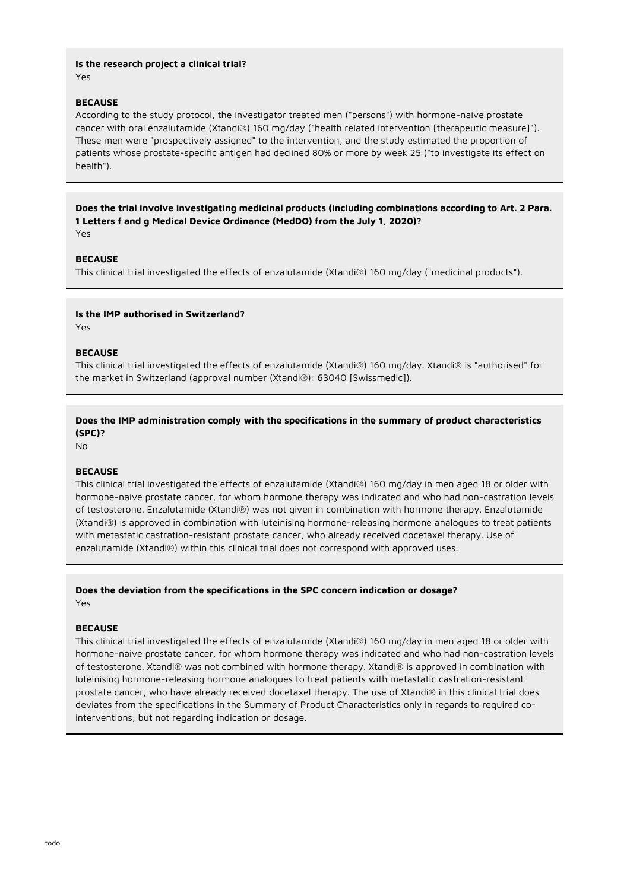#### **Is the research project a clinical trial?** Yes

## **BECAUSE**

According to the study protocol, the investigator treated men ("persons") with hormone-naive prostate cancer with oral enzalutamide (Xtandi®) 160 mg/day ("health related intervention [therapeutic measure]"). These men were "prospectively assigned" to the intervention, and the study estimated the proportion of patients whose prostate-specific antigen had declined 80% or more by week 25 ("to investigate its effect on health").

**Does the trial involve investigating medicinal products (including combinations according to Art. 2 Para. 1 Letters f and g Medical Device Ordinance (MedDO) from the July 1, 2020)?** Yes

## **BECAUSE**

This clinical trial investigated the effects of enzalutamide (Xtandi®) 160 mg/day ("medicinal products").

#### **Is the IMP authorised in Switzerland?**

Yes

#### **BECAUSE**

This clinical trial investigated the effects of enzalutamide (Xtandi®) 160 mg/day. Xtandi® is "authorised" for the market in Switzerland (approval number (Xtandi®): 63040 [Swissmedic]).

## **Does the IMP administration comply with the specifications in the summary of product characteristics (SPC)?**

No

## **BECAUSE**

This clinical trial investigated the effects of enzalutamide (Xtandi®) 160 mg/day in men aged 18 or older with hormone-naive prostate cancer, for whom hormone therapy was indicated and who had non-castration levels of testosterone. Enzalutamide (Xtandi®) was not given in combination with hormone therapy. Enzalutamide (Xtandi®) is approved in combination with luteinising hormone-releasing hormone analogues to treat patients with metastatic castration-resistant prostate cancer, who already received docetaxel therapy. Use of enzalutamide (Xtandi®) within this clinical trial does not correspond with approved uses.

# **Does the deviation from the specifications in the SPC concern indication or dosage?**

Yes

#### **BECAUSE**

This clinical trial investigated the effects of enzalutamide (Xtandi®) 160 mg/day in men aged 18 or older with hormone-naive prostate cancer, for whom hormone therapy was indicated and who had non-castration levels of testosterone. Xtandi® was not combined with hormone therapy. Xtandi® is approved in combination with luteinising hormone-releasing hormone analogues to treat patients with metastatic castration-resistant prostate cancer, who have already received docetaxel therapy. The use of Xtandi® in this clinical trial does deviates from the specifications in the Summary of Product Characteristics only in regards to required cointerventions, but not regarding indication or dosage.